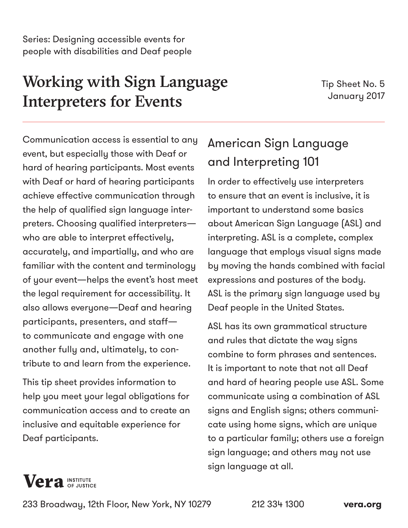# Working with Sign Language Interpreters for Events

Tip Sheet No. 5 January 2017

Communication access is essential to any event, but especially those with Deaf or hard of hearing participants. Most events with Deaf or hard of hearing participants achieve effective communication through the help of qualified sign language interpreters. Choosing qualified interpreters who are able to interpret effectively, accurately, and impartially, and who are familiar with the content and terminology of your event—helps the event's host meet the legal requirement for accessibility. It also allows everyone—Deaf and hearing participants, presenters, and staff to communicate and engage with one another fully and, ultimately, to contribute to and learn from the experience.

This tip sheet provides information to help you meet your legal obligations for communication access and to create an inclusive and equitable experience for Deaf participants.

# American Sign Language and Interpreting 101

In order to effectively use interpreters to ensure that an event is inclusive, it is important to understand some basics about American Sign Language (ASL) and interpreting. ASL is a complete, complex language that employs visual signs made by moving the hands combined with facial expressions and postures of the body. ASL is the primary sign language used by Deaf people in the United States.

ASL has its own grammatical structure and rules that dictate the way signs combine to form phrases and sentences. It is important to note that not all Deaf and hard of hearing people use ASL. Some communicate using a combination of ASL signs and English signs; others communicate using home signs, which are unique to a particular family; others use a foreign sign language; and others may not use sign language at all.



233 Broadway, 12th Floor, New York, NY 10279 212 334 1300 **[vera.org](http://www.vera.org)**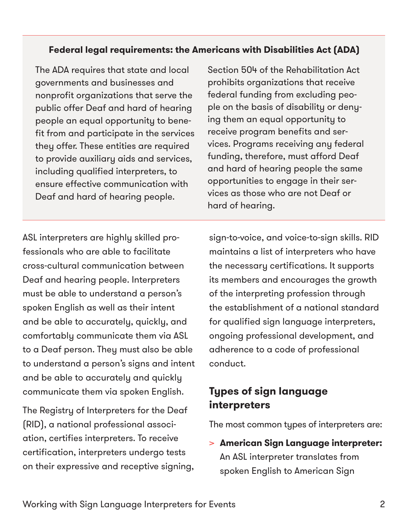#### **Federal legal requirements: the Americans with Disabilities Act (ADA)**

The ADA requires that state and local governments and businesses and nonprofit organizations that serve the public offer Deaf and hard of hearing people an equal opportunity to benefit from and participate in the services they offer. These entities are required to provide auxiliary aids and services, including qualified interpreters, to ensure effective communication with Deaf and hard of hearing people.

Section 504 of the Rehabilitation Act prohibits organizations that receive federal funding from excluding people on the basis of disability or denying them an equal opportunity to receive program benefits and services. Programs receiving any federal funding, therefore, must afford Deaf and hard of hearing people the same opportunities to engage in their services as those who are not Deaf or hard of hearing.

ASL interpreters are highly skilled professionals who are able to facilitate cross-cultural communication between Deaf and hearing people. Interpreters must be able to understand a person's spoken English as well as their intent and be able to accurately, quickly, and comfortably communicate them via ASL to a Deaf person. They must also be able to understand a person's signs and intent and be able to accurately and quickly communicate them via spoken English.

The Registry of Interpreters for the Deaf (RID), a national professional association, certifies interpreters. To receive certification, interpreters undergo tests on their expressive and receptive signing,

sign-to-voice, and voice-to-sign skills. RID maintains a list of interpreters who have the necessary certifications. It supports its members and encourages the growth of the interpreting profession through the establishment of a national standard for qualified sign language interpreters, ongoing professional development, and adherence to a code of professional conduct.

### **Types of sign language interpreters**

The most common types of interpreters are:

> **American Sign Language interpreter:** An ASL interpreter translates from spoken English to American Sign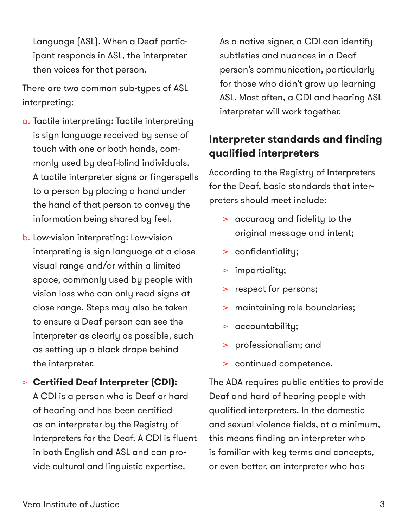Language (ASL). When a Deaf participant responds in ASL, the interpreter then voices for that person.

There are two common sub-types of ASL interpreting:

- a. Tactile interpreting: Tactile interpreting is sign language received by sense of touch with one or both hands, commonly used by deaf-blind individuals. A tactile interpreter signs or fingerspells to a person by placing a hand under the hand of that person to convey the information being shared by feel.
- b. Low-vision interpreting: Low-vision interpreting is sign language at a close visual range and/or within a limited space, commonly used by people with vision loss who can only read signs at close range. Steps may also be taken to ensure a Deaf person can see the interpreter as clearly as possible, such as setting up a black drape behind the interpreter.
- > **Certified Deaf Interpreter (CDI):** A CDI is a person who is Deaf or hard of hearing and has been certified as an interpreter by the Registry of Interpreters for the Deaf. A CDI is fluent in both English and ASL and can provide cultural and linguistic expertise.

As a native signer, a CDI can identify subtleties and nuances in a Deaf person's communication, particularly for those who didn't grow up learning ASL. Most often, a CDI and hearing ASL interpreter will work together.

## **Interpreter standards and finding qualified interpreters**

According to the Registry of Interpreters for the Deaf, basic standards that interpreters should meet include:

- > accuracy and fidelity to the original message and intent;
- > confidentiality;
- > impartiality;
- > respect for persons;
- > maintaining role boundaries;
- > accountability;
- > professionalism; and
- > continued competence.

The ADA requires public entities to provide Deaf and hard of hearing people with qualified interpreters. In the domestic and sexual violence fields, at a minimum, this means finding an interpreter who is familiar with key terms and concepts, or even better, an interpreter who has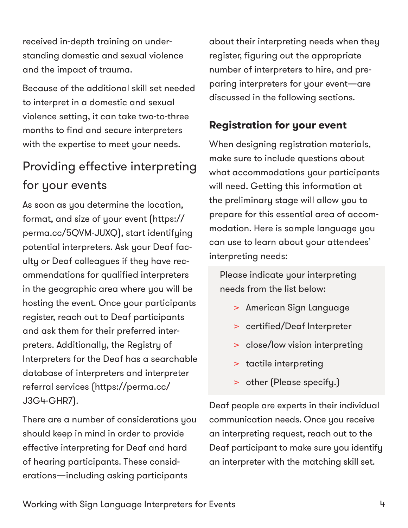received in-depth training on understanding domestic and sexual violence and the impact of trauma.

Because of the additional skill set needed to interpret in a domestic and sexual violence setting, it can take two-to-three months to find and secure interpreters with the expertise to meet your needs.

# Providing effective interpreting for your events

As soon as you determine the location, format, and size of your event [\(https://](https://perma.cc/5QVM-JUXQ) [perma.cc/5QVM-JUXQ\)](https://perma.cc/5QVM-JUXQ), start identifying potential interpreters. Ask your Deaf faculty or Deaf colleagues if they have recommendations for qualified interpreters in the geographic area where you will be hosting the event. Once your participants register, reach out to Deaf participants and ask them for their preferred interpreters. Additionally, the Registry of Interpreters for the Deaf has a searchable database of interpreters and interpreter referral services [\(https://perma.cc/](https://perma.cc/J3G4-GHR7) [J3G4-GHR7](https://perma.cc/J3G4-GHR7)[\)](http://www.rid.org).

There are a number of considerations you should keep in mind in order to provide effective interpreting for Deaf and hard of hearing participants. These considerations—including asking participants

about their interpreting needs when they register, figuring out the appropriate number of interpreters to hire, and preparing interpreters for your event—are discussed in the following sections.

# **Registration for your event**

When designing registration materials, make sure to include questions about what accommodations your participants will need. Getting this information at the preliminary stage will allow you to prepare for this essential area of accommodation. Here is sample language you can use to learn about your attendees' interpreting needs:

Please indicate your interpreting needs from the list below:

- > American Sign Language
- > certified/Deaf Interpreter
- > close/low vision interpreting
- > tactile interpreting
- > other (Please specify.)

Deaf people are experts in their individual communication needs. Once you receive an interpreting request, reach out to the Deaf participant to make sure you identify an interpreter with the matching skill set.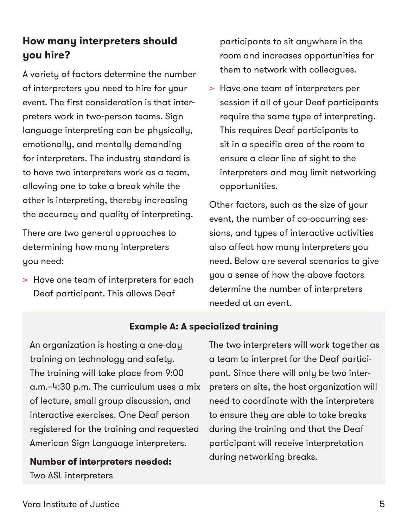# **How many interpreters should you hire?**

A variety of factors determine the number of interpreters you need to hire for your event. The first consideration is that interpreters work in two-person teams. Sign language interpreting can be physically, emotionally, and mentally demanding for interpreters. The industry standard is to have two interpreters work as a team, allowing one to take a break while the other is interpreting, thereby increasing the accuracy and quality of interpreting.

There are two general approaches to determining how many interpreters you need:

> Have one team of interpreters for each Deaf participant. This allows Deaf

participants to sit anywhere in the room and increases opportunities for them to network with colleagues.

> Have one team of interpreters per session if all of your Deaf participants require the same type of interpreting. This requires Deaf participants to sit in a specific area of the room to ensure a clear line of sight to the interpreters and may limit networking opportunities.

Other factors, such as the size of your event, the number of co-occurring sessions, and types of interactive activities also affect how many interpreters you need. Below are several scenarios to give you a sense of how the above factors determine the number of interpreters needed at an event.

#### **Example A: A specialized training**

An organization is hosting a one-day training on technology and safety. The training will take place from 9:00 a.m.–4:30 p.m. The curriculum uses a mix of lecture, small group discussion, and interactive exercises. One Deaf person registered for the training and requested American Sign Language interpreters.

**Number of interpreters needed:** Two ASL interpreters

The two interpreters will work together as a team to interpret for the Deaf participant. Since there will only be two interpreters on site, the host organization will need to coordinate with the interpreters to ensure they are able to take breaks during the training and that the Deaf participant will receive interpretation during networking breaks.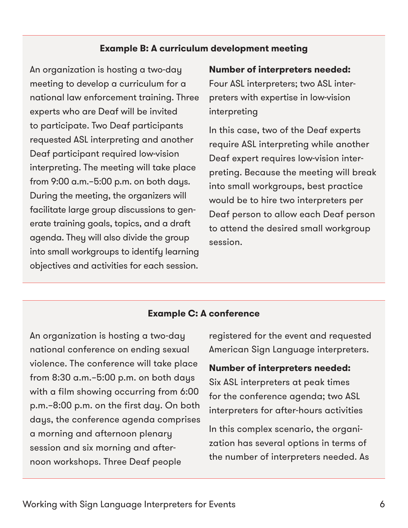#### **Example B: A curriculum development meeting**

An organization is hosting a two-day meeting to develop a curriculum for a national law enforcement training. Three experts who are Deaf will be invited to participate. Two Deaf participants requested ASL interpreting and another Deaf participant required low-vision interpreting. The meeting will take place from 9:00 a.m.–5:00 p.m. on both days. During the meeting, the organizers will facilitate large group discussions to generate training goals, topics, and a draft agenda. They will also divide the group into small workgroups to identify learning objectives and activities for each session.

#### **Number of interpreters needed:**

Four ASL interpreters; two ASL interpreters with expertise in low-vision interpreting

In this case, two of the Deaf experts require ASL interpreting while another Deaf expert requires low-vision interpreting. Because the meeting will break into small workgroups, best practice would be to hire two interpreters per Deaf person to allow each Deaf person to attend the desired small workgroup session.

#### **Example C: A conference**

An organization is hosting a two-day national conference on ending sexual violence. The conference will take place from 8:30 a.m.–5:00 p.m. on both days with a film showing occurring from 6:00 p.m.–8:00 p.m. on the first day. On both days, the conference agenda comprises a morning and afternoon plenary session and six morning and afternoon workshops. Three Deaf people

registered for the event and requested American Sign Language interpreters.

#### **Number of interpreters needed:**

Six ASL interpreters at peak times for the conference agenda; two ASL interpreters for after-hours activities

In this complex scenario, the organization has several options in terms of the number of interpreters needed. As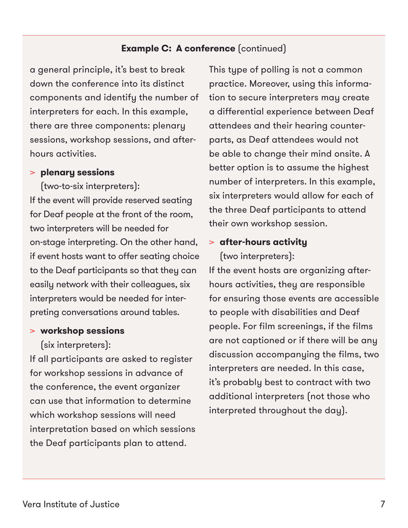#### **Example C: A conference** (continued)

a general principle, it's best to break down the conference into its distinct components and identify the number of interpreters for each. In this example, there are three components: plenary sessions, workshop sessions, and afterhours activities.

#### > **plenary sessions**

(two-to-six interpreters): If the event will provide reserved seating for Deaf people at the front of the room, two interpreters will be needed for on-stage interpreting. On the other hand, if event hosts want to offer seating choice to the Deaf participants so that they can easily network with their colleagues, six interpreters would be needed for interpreting conversations around tables.

#### > **workshop sessions**

(six interpreters):

If all participants are asked to register for workshop sessions in advance of the conference, the event organizer can use that information to determine which workshop sessions will need interpretation based on which sessions the Deaf participants plan to attend.

This type of polling is not a common practice. Moreover, using this information to secure interpreters may create a differential experience between Deaf attendees and their hearing counterparts, as Deaf attendees would not be able to change their mind onsite. A better option is to assume the highest number of interpreters. In this example, six interpreters would allow for each of the three Deaf participants to attend their own workshop session.

#### > **after-hours activity**

(two interpreters):

If the event hosts are organizing afterhours activities, they are responsible for ensuring those events are accessible to people with disabilities and Deaf people. For film screenings, if the films are not captioned or if there will be any discussion accompanying the films, two interpreters are needed. In this case, it's probably best to contract with two additional interpreters (not those who interpreted throughout the day).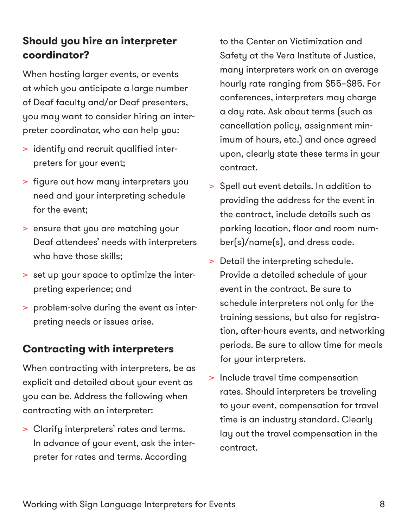# **Should you hire an interpreter coordinator?**

When hosting larger events, or events at which you anticipate a large number of Deaf faculty and/or Deaf presenters, you may want to consider hiring an interpreter coordinator, who can help you:

- > identify and recruit qualified interpreters for your event;
- > figure out how many interpreters you need and your interpreting schedule for the event;
- > ensure that you are matching your Deaf attendees' needs with interpreters who have those skills;
- > set up your space to optimize the interpreting experience; and
- > problem-solve during the event as interpreting needs or issues arise.

# **Contracting with interpreters**

When contracting with interpreters, be as explicit and detailed about your event as you can be. Address the following when contracting with an interpreter:

> Clarify interpreters' rates and terms. In advance of your event, ask the interpreter for rates and terms. According

to the Center on Victimization and Safety at the Vera Institute of Justice, many interpreters work on an average hourly rate ranging from \$55–\$85. For conferences, interpreters may charge a day rate. Ask about terms (such as cancellation policy, assignment minimum of hours, etc.) and once agreed upon, clearly state these terms in your contract.

- > Spell out event details. In addition to providing the address for the event in the contract, include details such as parking location, floor and room number(s)/name(s), and dress code.
- > Detail the interpreting schedule. Provide a detailed schedule of your event in the contract. Be sure to schedule interpreters not only for the training sessions, but also for registration, after-hours events, and networking periods. Be sure to allow time for meals for your interpreters.
- > Include travel time compensation rates. Should interpreters be traveling to your event, compensation for travel time is an industry standard. Clearly lay out the travel compensation in the contract.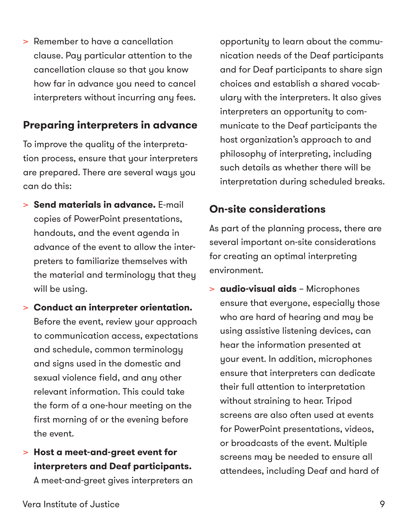> Remember to have a cancellation clause. Pay particular attention to the cancellation clause so that you know how far in advance you need to cancel interpreters without incurring any fees.

# **Preparing interpreters in advance**

To improve the quality of the interpretation process, ensure that your interpreters are prepared. There are several ways you can do this:

- > **Send materials in advance.** E-mail copies of PowerPoint presentations, handouts, and the event agenda in advance of the event to allow the interpreters to familiarize themselves with the material and terminology that they will be using.
- > **Conduct an interpreter orientation.** Before the event, review your approach to communication access, expectations and schedule, common terminology and signs used in the domestic and sexual violence field, and any other relevant information. This could take the form of a one-hour meeting on the first morning of or the evening before the event.
- > **Host a meet-and-greet event for interpreters and Deaf participants.**

A meet-and-greet gives interpreters an

opportunity to learn about the communication needs of the Deaf participants and for Deaf participants to share sign choices and establish a shared vocabulary with the interpreters. It also gives interpreters an opportunity to communicate to the Deaf participants the host organization's approach to and philosophy of interpreting, including such details as whether there will be interpretation during scheduled breaks.

# **On-site considerations**

As part of the planning process, there are several important on-site considerations for creating an optimal interpreting environment.

> **audio-visual aids** – Microphones ensure that everyone, especially those who are hard of hearing and may be using assistive listening devices, can hear the information presented at your event. In addition, microphones ensure that interpreters can dedicate their full attention to interpretation without straining to hear. Tripod screens are also often used at events for PowerPoint presentations, videos, or broadcasts of the event. Multiple screens may be needed to ensure all attendees, including Deaf and hard of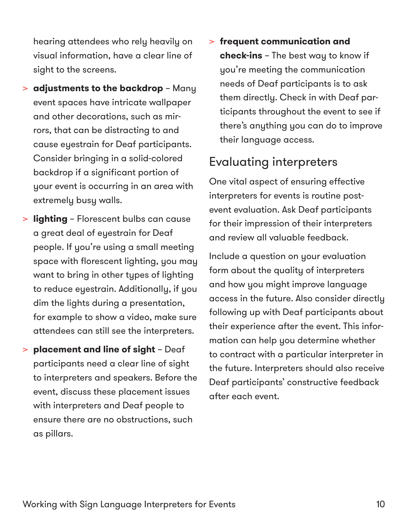hearing attendees who rely heavily on visual information, have a clear line of sight to the screens.

- > **adjustments to the backdrop** Many event spaces have intricate wallpaper and other decorations, such as mirrors, that can be distracting to and cause eyestrain for Deaf participants. Consider bringing in a solid-colored backdrop if a significant portion of your event is occurring in an area with extremely busy walls.
- > **lighting** Florescent bulbs can cause a great deal of eyestrain for Deaf people. If you're using a small meeting space with florescent lighting, you may want to bring in other types of lighting to reduce eyestrain. Additionally, if you dim the lights during a presentation, for example to show a video, make sure attendees can still see the interpreters.
- > **placement and line of sight** Deaf participants need a clear line of sight to interpreters and speakers. Before the event, discuss these placement issues with interpreters and Deaf people to ensure there are no obstructions, such as pillars.

> **frequent communication and check-ins** – The best way to know if you're meeting the communication needs of Deaf participants is to ask them directly. Check in with Deaf participants throughout the event to see if there's anything you can do to improve their language access.

# Evaluating interpreters

One vital aspect of ensuring effective interpreters for events is routine postevent evaluation. Ask Deaf participants for their impression of their interpreters and review all valuable feedback.

Include a question on your evaluation form about the quality of interpreters and how you might improve language access in the future. Also consider directly following up with Deaf participants about their experience after the event. This information can help you determine whether to contract with a particular interpreter in the future. Interpreters should also receive Deaf participants' constructive feedback after each event.